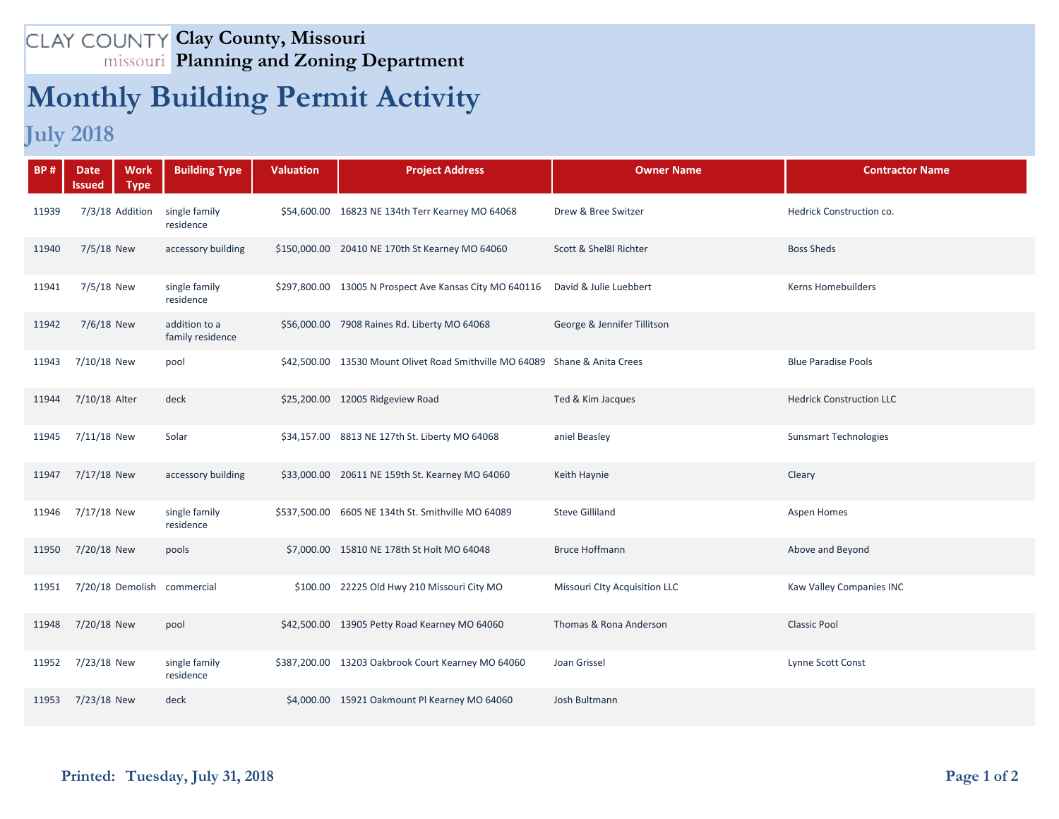## **Clay County, Missouri Planning and Zoning Department**

## **Monthly Building Permit Activity**

## **July 2018**

| <b>BP#</b> | <b>Work</b><br><b>Date</b><br><b>Type</b><br>lssued | <b>Building Type</b>              | <b>Valuation</b> | <b>Project Address</b>                                                      | <b>Owner Name</b>                    | <b>Contractor Name</b>          |
|------------|-----------------------------------------------------|-----------------------------------|------------------|-----------------------------------------------------------------------------|--------------------------------------|---------------------------------|
| 11939      | 7/3/18 Addition                                     | single family<br>residence        |                  | \$54,600.00 16823 NE 134th Terr Kearney MO 64068                            | Drew & Bree Switzer                  | Hedrick Construction co.        |
| 11940      | 7/5/18 New                                          | accessory building                |                  | \$150,000.00 20410 NE 170th St Kearney MO 64060                             | Scott & Shel8l Richter               | <b>Boss Sheds</b>               |
| 11941      | 7/5/18 New                                          | single family<br>residence        |                  | \$297,800.00 13005 N Prospect Ave Kansas City MO 640116                     | David & Julie Luebbert               | <b>Kerns Homebuilders</b>       |
| 11942      | 7/6/18 New                                          | addition to a<br>family residence |                  | \$56,000.00 7908 Raines Rd. Liberty MO 64068                                | George & Jennifer Tillitson          |                                 |
| 11943      | 7/10/18 New                                         | pool                              |                  | \$42,500.00 13530 Mount Olivet Road Smithville MO 64089 Shane & Anita Crees |                                      | <b>Blue Paradise Pools</b>      |
| 11944      | 7/10/18 Alter                                       | deck                              |                  | \$25,200.00 12005 Ridgeview Road                                            | Ted & Kim Jacques                    | <b>Hedrick Construction LLC</b> |
| 11945      | 7/11/18 New                                         | Solar                             |                  | \$34,157.00 8813 NE 127th St. Liberty MO 64068                              | aniel Beasley                        | <b>Sunsmart Technologies</b>    |
| 11947      | 7/17/18 New                                         | accessory building                |                  | \$33,000.00 20611 NE 159th St. Kearney MO 64060                             | Keith Haynie                         | Cleary                          |
| 11946      | 7/17/18 New                                         | single family<br>residence        |                  | \$537,500.00 6605 NE 134th St. Smithville MO 64089                          | <b>Steve Gilliland</b>               | <b>Aspen Homes</b>              |
| 11950      | 7/20/18 New                                         | pools                             |                  | \$7,000.00 15810 NE 178th St Holt MO 64048                                  | <b>Bruce Hoffmann</b>                | Above and Beyond                |
| 11951      | 7/20/18 Demolish commercial                         |                                   |                  | \$100.00 22225 Old Hwy 210 Missouri City MO                                 | <b>Missouri Clty Acquisition LLC</b> | Kaw Valley Companies INC        |
| 11948      | 7/20/18 New                                         | pool                              |                  | \$42,500.00 13905 Petty Road Kearney MO 64060                               | Thomas & Rona Anderson               | <b>Classic Pool</b>             |
| 11952      | 7/23/18 New                                         | single family<br>residence        |                  | \$387,200.00 13203 Oakbrook Court Kearney MO 64060                          | Joan Grissel                         | Lynne Scott Const               |
| 11953      | 7/23/18 New                                         | deck                              |                  | \$4,000.00 15921 Oakmount PI Kearney MO 64060                               | Josh Bultmann                        |                                 |